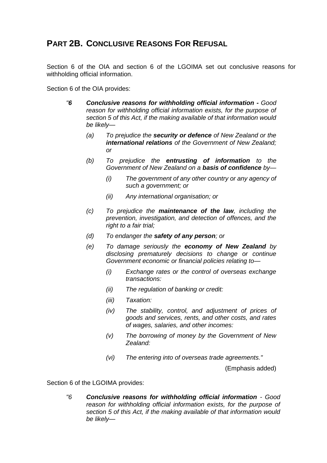# **PART 2B. CONCLUSIVE REASONS FOR REFUSAL**

Section 6 of the OIA and section 6 of the LGOIMA set out conclusive reasons for withholding official information.

Section 6 of the OIA provides:

- *"6 Conclusive reasons for withholding official information - Good reason for withholding official information exists, for the purpose of section 5 of this Act, if the making available of that information would be likely—*
	- *(a) To prejudice the security or defence of New Zealand or the international relations of the Government of New Zealand; or*
	- *(b) To prejudice the entrusting of information to the Government of New Zealand on a basis of confidence by—*
		- *(i) The government of any other country or any agency of such a government; or*
		- *(ii) Any international organisation; or*
	- *(c) To prejudice the maintenance of the law, including the prevention, investigation, and detection of offences, and the right to a fair trial;*
	- *(d) To endanger the safety of any person; or*
	- *(e) To damage seriously the economy of New Zealand by disclosing prematurely decisions to change or continue Government economic or financial policies relating to—*
		- *(i) Exchange rates or the control of overseas exchange transactions:*
		- *(ii) The regulation of banking or credit:*
		- *(iii) Taxation:*
		- *(iv) The stability, control, and adjustment of prices of goods and services, rents, and other costs, and rates of wages, salaries, and other incomes:*
		- *(v) The borrowing of money by the Government of New Zealand:*
		- *(vi) The entering into of overseas trade agreements."*

(Emphasis added)

Section 6 of the LGOIMA provides:

*"6 Conclusive reasons for withholding official information - Good reason for withholding official information exists, for the purpose of section 5 of this Act, if the making available of that information would be likely—*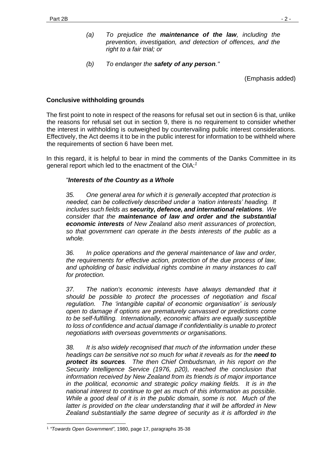- *(a) To prejudice the maintenance of the law, including the prevention, investigation, and detection of offences, and the right to a fair trial; or*
- *(b) To endanger the safety of any person."*

(Emphasis added)

### **Conclusive withholding grounds**

The first point to note in respect of the reasons for refusal set out in section 6 is that, unlike the reasons for refusal set out in section 9, there is no requirement to consider whether the interest in withholding is outweighed by countervailing public interest considerations. Effectively, the Act deems it to be in the public interest for information to be withheld where the requirements of section 6 have been met.

In this regard, it is helpful to bear in mind the comments of the Danks Committee in its general report which led to the enactment of the OIA:*<sup>1</sup>*

#### *"Interests of the Country as a Whole*

*35. One general area for which it is generally accepted that protection is needed, can be collectively described under a 'nation interests' heading. It includes such fields as security, defence, and international relations. We consider that the maintenance of law and order and the substantial economic interests of New Zealand also merit assurances of protection, so that government can operate in the bests interests of the public as a whole.*

*36. In police operations and the general maintenance of law and order, the requirements for effective action, protection of the due process of law, and upholding of basic individual rights combine in many instances to call for protection.*

*37. The nation's economic interests have always demanded that it should be possible to protect the processes of negotiation and fiscal regulation. The 'intangible capital of economic organisation' is seriously open to damage if options are prematurely canvassed or predictions come to be self-fulfilling. Internationally, economic affairs are equally susceptible to loss of confidence and actual damage if confidentiality is unable to protect negotiations with overseas governments or organisations.*

*38. It is also widely recognised that much of the information under these headings can be sensitive not so much for what it reveals as for the need to protect its sources. The then Chief Ombudsman, in his report on the Security Intelligence Service (1976, p20), reached the conclusion that information received by New Zealand from its friends is of major importance in the political, economic and strategic policy making fields. It is in the national interest to continue to get as much of this information as possible. While a good deal of it is in the public domain, some is not. Much of the latter is provided on the clear understanding that it will be afforded in New Zealand substantially the same degree of security as it is afforded in the* 

<sup>-</sup>1 *"Towards Open Government"*, 1980, page 17, paragraphs 35-38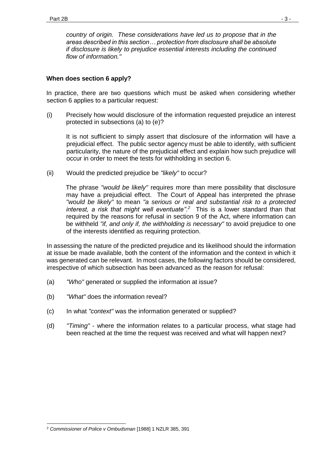*country of origin. These considerations have led us to propose that in the areas described in this section… protection from disclosure shall be absolute if disclosure is likely to prejudice essential interests including the continued flow of information."*

## **When does section 6 apply?**

In practice, there are two questions which must be asked when considering whether section 6 applies to a particular request:

(i) Precisely how would disclosure of the information requested prejudice an interest protected in subsections (a) to (e)?

It is not sufficient to simply assert that disclosure of the information will have a prejudicial effect. The public sector agency must be able to identify, with sufficient particularity, the nature of the prejudicial effect and explain how such prejudice will occur in order to meet the tests for withholding in section 6.

(ii) Would the predicted prejudice be *"likely"* to occur?

The phrase *"would be likely"* requires more than mere possibility that disclosure may have a prejudicial effect. The Court of Appeal has interpreted the phrase *"would be likely"* to mean *"a serious or real and substantial risk to a protected interest, a risk that might well eventuate"*. *2* This is a lower standard than that required by the reasons for refusal in section 9 of the Act, where information can be withheld *"if, and only if, the withholding is necessary"* to avoid prejudice to one of the interests identified as requiring protection.

In assessing the nature of the predicted prejudice and its likelihood should the information at issue be made available, both the content of the information and the context in which it was generated can be relevant. In most cases, the following factors should be considered, irrespective of which subsection has been advanced as the reason for refusal:

- (a) *"Who"* generated or supplied the information at issue?
- (b) *"What"* does the information reveal?
- (c) In what *"context"* was the information generated or supplied?
- (d) *"Timing"* where the information relates to a particular process, what stage had been reached at the time the request was received and what will happen next?

<sup>-</sup><sup>2</sup> *Commissioner of Police v Ombudsman* [1988] 1 NZLR 385, 391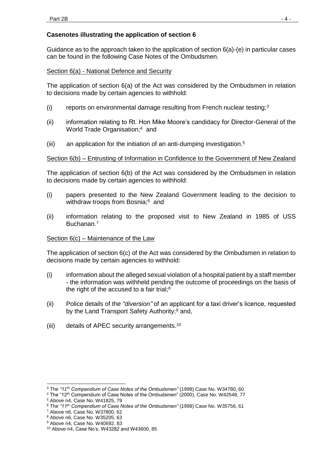## **Casenotes illustrating the application of section 6**

Guidance as to the approach taken to the application of section 6(a)-(e) in particular cases can be found in the following Case Notes of the Ombudsmen.

#### Section 6(a) - National Defence and Security

The application of section 6(a) of the Act was considered by the Ombudsmen in relation to decisions made by certain agencies to withhold:

- (i) reports on environmental damage resulting from French nuclear testing; $3$
- (ii) information relating to Rt. Hon Mike Moore's candidacy for Director-General of the World Trade Organisation;<sup>4</sup> and
- $(iii)$  an application for the initiation of an anti-dumping investigation.<sup>5</sup>

### Section 6(b) – Entrusting of Information in Confidence to the Government of New Zealand

The application of section 6(b) of the Act was considered by the Ombudsmen in relation to decisions made by certain agencies to withhold:

- (i) papers presented to the New Zealand Government leading to the decision to withdraw troops from Bosnia;<sup>6</sup> and
- (ii) information relating to the proposed visit to New Zealand in 1985 of USS Buchanan.<sup>7</sup>

#### Section 6(c) – Maintenance of the Law

The application of section 6(c) of the Act was considered by the Ombudsmen in relation to decisions made by certain agencies to withhold:

- (i) information about the alleged sexual violation of a hospital patient by a staff member - the information was withheld pending the outcome of proceedings on the basis of the right of the accused to a fair trial;<sup>8</sup>
- (ii) Police details of the *"diversion"* of an applicant for a taxi driver's licence, requested by the Land Transport Safety Authority;<sup>9</sup> and,
- (iii) details of APEC security arrangements.<sup>10</sup>

-

<sup>3</sup> The *"11 th Compendium of Case Notes of the Ombudsmen"* (1998) Case No. W34780, 60

<sup>&</sup>lt;sup>4</sup> The "12<sup>th</sup> Compendium of Case Notes of the Ombudsmen" (2000), Case No. W42548, 77

<sup>5</sup> Above n4, Case No. W41825, 79

<sup>6</sup> The *"11th Compendium of Case Notes of the Ombudsmen"* (1998) Case No. W35756, 61

<sup>7</sup> Above n6, Case No. W37800, 62

<sup>8</sup> Above n6, Case No. W35205, 63

<sup>9</sup> Above n4, Case No. W40692, 83

<sup>10</sup> Above n4, Case No's. W43282 and W43600, 85